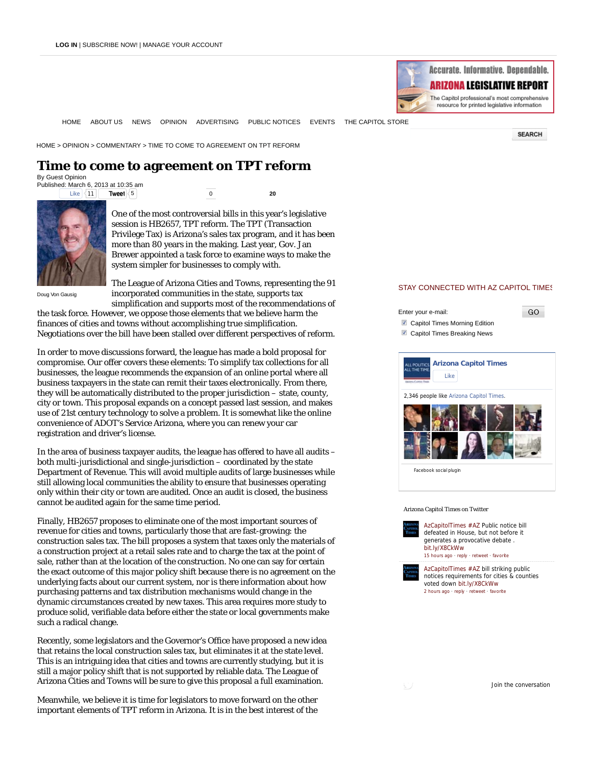

**SEARCH** 

GO

HOME ABOUT US NEWS OPINION ADVERTISING PUBLIC NOTICES EVENTS THE CAPITOL STORE

HOME > OPINION > COMMENTARY > TIME TO COME TO AGREEMENT ON TPT REFORM

## **Time to come to agreement on TPT reform** By Guest Opinion

Published: March 6, 2013 at 10:35 am Like  $\leq 11$ 

**Tweet**  $\left\langle 5 \right|$  0 **20** 



One of the most controversial bills in this year's legislative session is HB2657, TPT reform. The TPT (Transaction Privilege Tax) is Arizona's sales tax program, and it has been more than 80 years in the making. Last year, Gov. Jan Brewer appointed a task force to examine ways to make the system simpler for businesses to comply with.

Doug Von Gausig

The League of Arizona Cities and Towns, representing the 91 incorporated communities in the state, supports tax simplification and supports most of the recommendations of

the task force. However, we oppose those elements that we believe harm the finances of cities and towns without accomplishing true simplification. Negotiations over the bill have been stalled over different perspectives of reform.

In order to move discussions forward, the league has made a bold proposal for compromise. Our offer covers these elements: To simplify tax collections for all businesses, the league recommends the expansion of an online portal where all business taxpayers in the state can remit their taxes electronically. From there, they will be automatically distributed to the proper jurisdiction – state, county, city or town. This proposal expands on a concept passed last session, and makes use of 21st century technology to solve a problem. It is somewhat like the online convenience of ADOT's Service Arizona, where you can renew your car registration and driver's license.

In the area of business taxpayer audits, the league has offered to have all audits – both multi-jurisdictional and single-jurisdiction – coordinated by the state Department of Revenue. This will avoid multiple audits of large businesses while still allowing local communities the ability to ensure that businesses operating only within their city or town are audited. Once an audit is closed, the business cannot be audited again for the same time period.

Finally, HB2657 proposes to eliminate one of the most important sources of revenue for cities and towns, particularly those that are fast-growing: the construction sales tax. The bill proposes a system that taxes only the materials of a construction project at a retail sales rate and to charge the tax at the point of sale, rather than at the location of the construction. No one can say for certain the exact outcome of this major policy shift because there is no agreement on the underlying facts about our current system, nor is there information about how purchasing patterns and tax distribution mechanisms would change in the dynamic circumstances created by new taxes. This area requires more study to produce solid, verifiable data before either the state or local governments make such a radical change.

Recently, some legislators and the Governor's Office have proposed a new idea that retains the local construction sales tax, but eliminates it at the state level. This is an intriguing idea that cities and towns are currently studying, but it is still a major policy shift that is not supported by reliable data. The League of Arizona Cities and Towns will be sure to give this proposal a full examination.

Meanwhile, we believe it is time for legislators to move forward on the other important elements of TPT reform in Arizona. It is in the best interest of the

## STAY CONNECTED WITH AZ CAPITOL TIMES

Enter your e-mail: Capitol Times Morning Edition

**Z** Capitol Times Breaking News



## Arizona Capitol Times on Twitter



AzCapitolTimes #AZ bill striking public notices requirements for cities & counties voted down bit.ly/X8CkWw 2 hours ago · reply · retweet · favorite